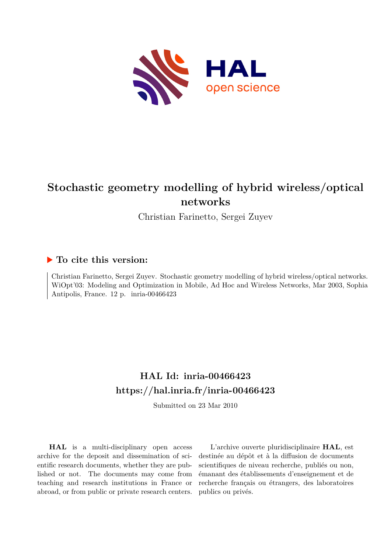

## **Stochastic geometry modelling of hybrid wireless/optical networks**

Christian Farinetto, Sergei Zuyev

## **To cite this version:**

Christian Farinetto, Sergei Zuyev. Stochastic geometry modelling of hybrid wireless/optical networks. WiOpt'03: Modeling and Optimization in Mobile, Ad Hoc and Wireless Networks, Mar 2003, Sophia Antipolis, France. 12 p. inria-00466423

## **HAL Id: inria-00466423 <https://hal.inria.fr/inria-00466423>**

Submitted on 23 Mar 2010

**HAL** is a multi-disciplinary open access archive for the deposit and dissemination of scientific research documents, whether they are published or not. The documents may come from teaching and research institutions in France or abroad, or from public or private research centers.

L'archive ouverte pluridisciplinaire **HAL**, est destinée au dépôt et à la diffusion de documents scientifiques de niveau recherche, publiés ou non, émanant des établissements d'enseignement et de recherche français ou étrangers, des laboratoires publics ou privés.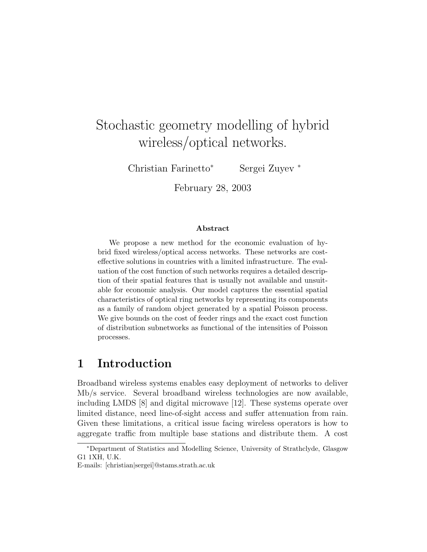# Stochastic geometry modelling of hybrid wireless/optical networks.

Christian Farinetto<sup>∗</sup> Sergei Zuyev <sup>∗</sup>

February 28, 2003

#### Abstract

We propose a new method for the economic evaluation of hybrid fixed wireless/optical access networks. These networks are costeffective solutions in countries with a limited infrastructure. The evaluation of the cost function of such networks requires a detailed description of their spatial features that is usually not available and unsuitable for economic analysis. Our model captures the essential spatial characteristics of optical ring networks by representing its components as a family of random object generated by a spatial Poisson process. We give bounds on the cost of feeder rings and the exact cost function of distribution subnetworks as functional of the intensities of Poisson processes.

## 1 Introduction

Broadband wireless systems enables easy deployment of networks to deliver Mb/s service. Several broadband wireless technologies are now available, including LMDS [8] and digital microwave [12]. These systems operate over limited distance, need line-of-sight access and suffer attenuation from rain. Given these limitations, a critical issue facing wireless operators is how to aggregate traffic from multiple base stations and distribute them. A cost

<sup>∗</sup>Department of Statistics and Modelling Science, University of Strathclyde, Glasgow G1 1XH, U.K.

E-mails: [christian|sergei]@stams.strath.ac.uk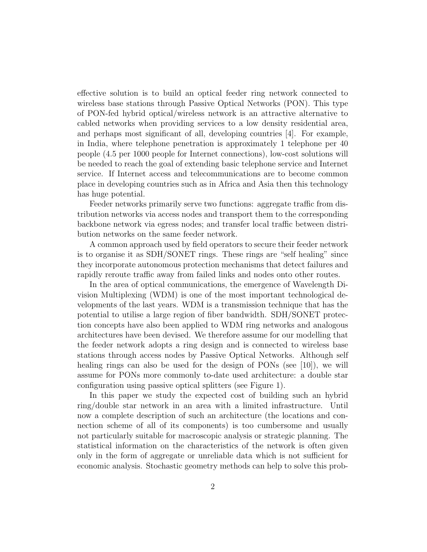effective solution is to build an optical feeder ring network connected to wireless base stations through Passive Optical Networks (PON). This type of PON-fed hybrid optical/wireless network is an attractive alternative to cabled networks when providing services to a low density residential area, and perhaps most significant of all, developing countries [4]. For example, in India, where telephone penetration is approximately 1 telephone per 40 people (4.5 per 1000 people for Internet connections), low-cost solutions will be needed to reach the goal of extending basic telephone service and Internet service. If Internet access and telecommunications are to become common place in developing countries such as in Africa and Asia then this technology has huge potential.

Feeder networks primarily serve two functions: aggregate traffic from distribution networks via access nodes and transport them to the corresponding backbone network via egress nodes; and transfer local traffic between distribution networks on the same feeder network.

A common approach used by field operators to secure their feeder network is to organise it as SDH/SONET rings. These rings are "self healing" since they incorporate autonomous protection mechanisms that detect failures and rapidly reroute traffic away from failed links and nodes onto other routes.

In the area of optical communications, the emergence of Wavelength Division Multiplexing (WDM) is one of the most important technological developments of the last years. WDM is a transmission technique that has the potential to utilise a large region of fiber bandwidth. SDH/SONET protection concepts have also been applied to WDM ring networks and analogous architectures have been devised. We therefore assume for our modelling that the feeder network adopts a ring design and is connected to wireless base stations through access nodes by Passive Optical Networks. Although self healing rings can also be used for the design of PONs (see [10]), we will assume for PONs more commonly to-date used architecture: a double star configuration using passive optical splitters (see Figure 1).

In this paper we study the expected cost of building such an hybrid ring/double star network in an area with a limited infrastructure. Until now a complete description of such an architecture (the locations and connection scheme of all of its components) is too cumbersome and usually not particularly suitable for macroscopic analysis or strategic planning. The statistical information on the characteristics of the network is often given only in the form of aggregate or unreliable data which is not sufficient for economic analysis. Stochastic geometry methods can help to solve this prob-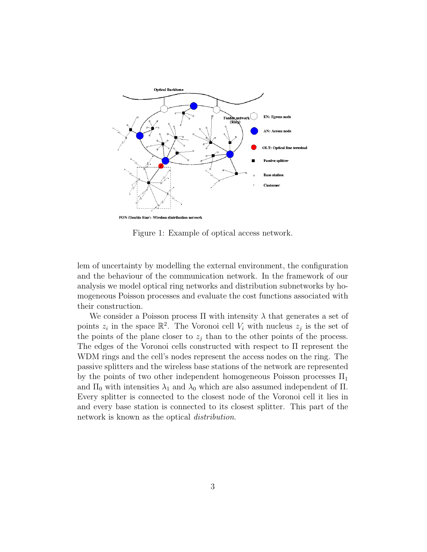

Figure 1: Example of optical access network.

lem of uncertainty by modelling the external environment, the configuration and the behaviour of the communication network. In the framework of our analysis we model optical ring networks and distribution subnetworks by homogeneous Poisson processes and evaluate the cost functions associated with their construction.

We consider a Poisson process  $\Pi$  with intensity  $\lambda$  that generates a set of points  $z_i$  in the space  $\mathbb{R}^2$ . The Voronoi cell  $V_i$  with nucleus  $z_j$  is the set of the points of the plane closer to  $z_j$  than to the other points of the process. The edges of the Voronoi cells constructed with respect to Π represent the WDM rings and the cell's nodes represent the access nodes on the ring. The passive splitters and the wireless base stations of the network are represented by the points of two other independent homogeneous Poisson processes  $\Pi_1$ and  $\Pi_0$  with intensities  $\lambda_1$  and  $\lambda_0$  which are also assumed independent of  $\Pi$ . Every splitter is connected to the closest node of the Voronoi cell it lies in and every base station is connected to its closest splitter. This part of the network is known as the optical *distribution*.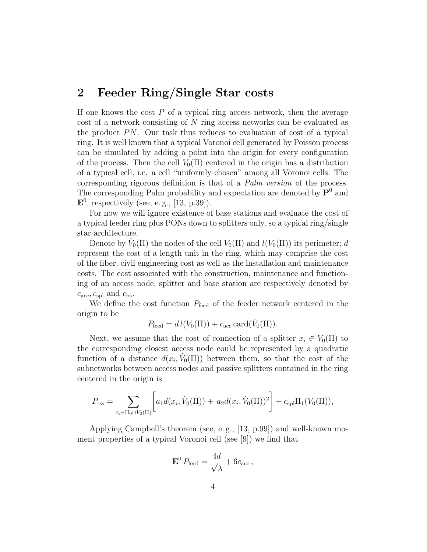## 2 Feeder Ring/Single Star costs

If one knows the cost  $P$  of a typical ring access network, then the average cost of a network consisting of N ring access networks can be evaluated as the product  $PN$ . Our task thus reduces to evaluation of cost of a typical ring. It is well known that a typical Voronoi cell generated by Poisson process can be simulated by adding a point into the origin for every configuration of the process. Then the cell  $V_0(\Pi)$  centered in the origin has a distribution of a typical cell, i.e. a cell "uniformly chosen" among all Voronoi cells. The corresponding rigorous definition is that of a Palm version of the process. The corresponding Palm probability and expectation are denoted by  $\mathbf{P}^0$  and  $\mathbf{E}^0$ , respectively (see, e.g., [13, p.39]).

For now we will ignore existence of base stations and evaluate the cost of a typical feeder ring plus PONs down to splitters only, so a typical ring/single star architecture.

Denote by  $\hat{V}_0(\Pi)$  the nodes of the cell  $V_0(\Pi)$  and  $l(V_0(\Pi))$  its perimeter; d represent the cost of a length unit in the ring, which may comprise the cost of the fiber, civil engineering cost as well as the installation and maintenance costs. The cost associated with the construction, maintenance and functioning of an access node, splitter and base station are respectively denoted by  $c_{\rm acc}, c_{\rm spl}$  and  $c_{\rm bs}$ .

We define the cost function  $P_{\text{feed}}$  of the feeder network centered in the origin to be

$$
P_{\text{feed}} = d l(V_0(\Pi)) + c_{\text{acc}} \operatorname{card}(\hat{V}_0(\Pi)).
$$

Next, we assume that the cost of connection of a splitter  $x_i \in V_0(\Pi)$  to the corresponding closest access node could be represented by a quadratic function of a distance  $d(x_i, \hat{V}_0(\Pi))$  between them, so that the cost of the subnetworks between access nodes and passive splitters contained in the ring centered in the origin is

$$
P_{\text{rss}} = \sum_{x_i \in \Pi_0 \cap V_0(\Pi)} \left[ a_1 d(x_i, \hat{V}_0(\Pi)) + a_2 d(x_i, \hat{V}_0(\Pi))^2 \right] + c_{\text{spl}} \Pi_1(V_0(\Pi)),
$$

Applying Campbell's theorem (see, e. g., [13, p.99]) and well-known moment properties of a typical Voronoi cell (see [9]) we find that

$$
\mathbf{E}^0 P_{\text{feed}} = \frac{4d}{\sqrt{\lambda}} + 6c_{\text{acc}}\,,
$$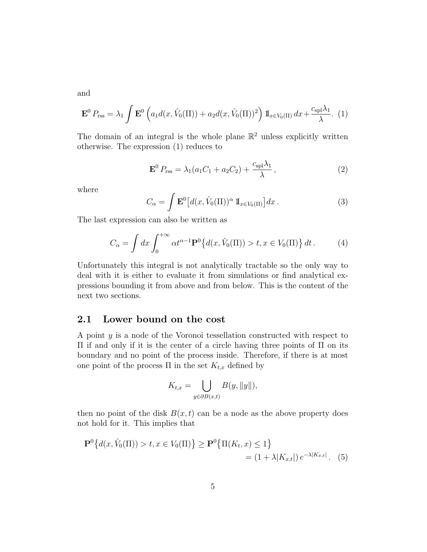and

$$
\mathbf{E}^0 P_{\text{rss}} = \lambda_1 \int \mathbf{E}^0 \left( a_1 d(x, \hat{V}_0(\Pi)) + a_2 d(x, \hat{V}_0(\Pi))^2 \right) \mathbb{I}_{x \in V_0(\Pi)} dx + \frac{c_{\text{spl}} \lambda_1}{\lambda} .
$$
 (1)

The domain of an integral is the whole plane  $\mathbb{R}^2$  unless explicitly written otherwise. The expression (1) reduces to

$$
\mathbf{E}^0 P_{\rm rss} = \lambda_1 (a_1 C_1 + a_2 C_2) + \frac{c_{\rm spl} \lambda_1}{\lambda}, \qquad (2)
$$

where

$$
C_{\alpha} = \int \mathbf{E}^{0} \left[ d(x, \hat{V}_{0}(\Pi))^{\alpha} \, \mathbb{I}_{x \in V_{0}(\Pi)} \right] dx \,. \tag{3}
$$

The last expression can also be written as

$$
C_{\alpha} = \int dx \int_0^{+\infty} \alpha t^{\alpha - 1} \mathbf{P}^0 \{ d(x, \hat{V}_0(\Pi)) > t, x \in V_0(\Pi) \} dt.
$$
 (4)

Unfortunately this integral is not analytically tractable so the only way to deal with it is either to evaluate it from simulations or find analytical expressions bounding it from above and from below. This is the content of the next two sections.

#### 2.1 Lower bound on the cost

A point y is a node of the Voronoi tessellation constructed with respect to Π if and only if it is the center of a circle having three points of Π on its boundary and no point of the process inside. Therefore, if there is at most one point of the process  $\Pi$  in the set  $K_{t,x}$  defined by

$$
K_{t,x} = \bigcup_{y \in \partial B(x,t)} B(y, \|y\|),
$$

then no point of the disk  $B(x, t)$  can be a node as the above property does not hold for it. This implies that

$$
\mathbf{P}^0\big\{d(x,\hat{V}_0(\Pi)) > t, x \in V_0(\Pi)\big\} \ge \mathbf{P}^0\big\{\Pi(K_t, x) \le 1\big\}
$$
  
=  $(1 + \lambda |K_{x,t}|) e^{-\lambda |K_{x,t}|}$ . (5)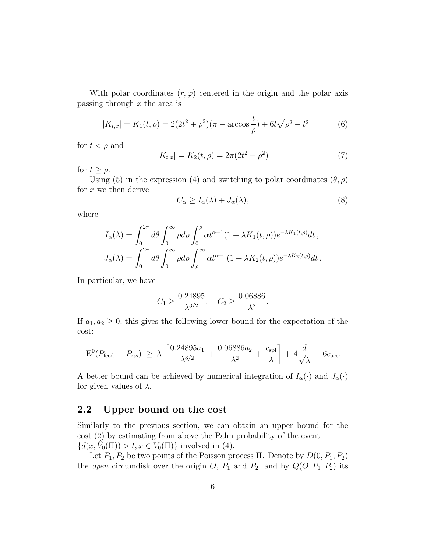With polar coordinates  $(r, \varphi)$  centered in the origin and the polar axis passing through  $x$  the area is

$$
|K_{t,x}| = K_1(t,\rho) = 2(2t^2 + \rho^2)(\pi - \arccos\frac{t}{\rho}) + 6t\sqrt{\rho^2 - t^2}
$$
 (6)

for  $t < \rho$  and

$$
|K_{t,x}| = K_2(t,\rho) = 2\pi(2t^2 + \rho^2)
$$
\n(7)

for  $t \geq \rho$ .

Using (5) in the expression (4) and switching to polar coordinates  $(\theta, \rho)$ for  $x$  we then derive

$$
C_{\alpha} \ge I_{\alpha}(\lambda) + J_{\alpha}(\lambda), \tag{8}
$$

where

$$
I_{\alpha}(\lambda) = \int_0^{2\pi} d\theta \int_0^{\infty} \rho d\rho \int_0^{\rho} \alpha t^{\alpha-1} (1 + \lambda K_1(t, \rho)) e^{-\lambda K_1(t, \rho)} dt,
$$
  

$$
J_{\alpha}(\lambda) = \int_0^{2\pi} d\theta \int_0^{\infty} \rho d\rho \int_{\rho}^{\infty} \alpha t^{\alpha-1} (1 + \lambda K_2(t, \rho)) e^{-\lambda K_2(t, \rho)} dt.
$$

In particular, we have

$$
C_1 \ge \frac{0.24895}{\lambda^{3/2}}, \quad C_2 \ge \frac{0.06886}{\lambda^2}.
$$

If  $a_1, a_2 \geq 0$ , this gives the following lower bound for the expectation of the cost:

$$
\mathbf{E}^{0}(P_{\text{feed}} + P_{\text{rss}}) \geq \lambda_{1} \left[ \frac{0.24895a_{1}}{\lambda^{3/2}} + \frac{0.06886a_{2}}{\lambda^{2}} + \frac{c_{\text{spl}}}{\lambda} \right] + 4\frac{d}{\sqrt{\lambda}} + 6c_{\text{acc}}.
$$

A better bound can be achieved by numerical integration of  $I_{\alpha}(\cdot)$  and  $J_{\alpha}(\cdot)$ for given values of  $\lambda$ .

#### 2.2 Upper bound on the cost

Similarly to the previous section, we can obtain an upper bound for the cost (2) by estimating from above the Palm probability of the event  ${d(x, \hat{V}_0(\Pi)) > t, x \in V_0(\Pi)}$  involved in (4).

Let  $P_1$ ,  $P_2$  be two points of the Poisson process Π. Denote by  $D(0, P_1, P_2)$ the *open* circumdisk over the origin O,  $P_1$  and  $P_2$ , and by  $Q(O, P_1, P_2)$  its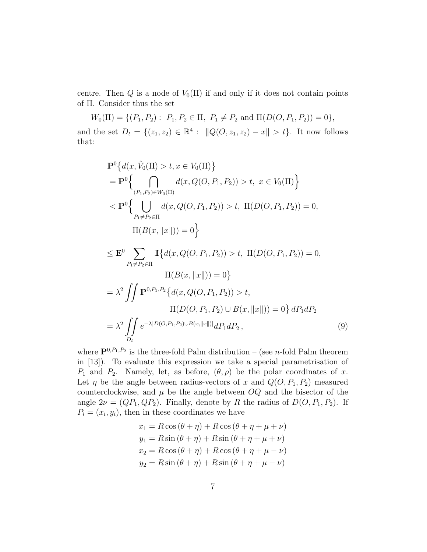centre. Then Q is a node of  $V_0(\Pi)$  if and only if it does not contain points of Π. Consider thus the set

$$
W_0(\Pi) = \{ (P_1, P_2) : P_1, P_2 \in \Pi, P_1 \neq P_2 \text{ and } \Pi(D(O, P_1, P_2)) = 0 \},
$$

and the set  $D_t = \{(z_1, z_2) \in \mathbb{R}^4 : ||Q(O, z_1, z_2) - x|| > t\}.$  It now follows that:

$$
\mathbf{P}^{0}\left\{d(x, \hat{V}_{0}(\Pi) > t, x \in V_{0}(\Pi)\right\}
$$
\n
$$
= \mathbf{P}^{0}\left\{\bigcap_{(P_{1}, P_{2}) \in W_{0}(\Pi)} d(x, Q(O, P_{1}, P_{2})) > t, x \in V_{0}(\Pi)\right\}
$$
\n
$$
< \mathbf{P}^{0}\left\{\bigcup_{P_{1} \neq P_{2} \in \Pi} d(x, Q(O, P_{1}, P_{2})) > t, \Pi(D(O, P_{1}, P_{2})) = 0,
$$
\n
$$
\Pi(B(x, \|x\|)) = 0\right\}
$$
\n
$$
\leq \mathbf{E}^{0}\sum_{P_{1} \neq P_{2} \in \Pi} \Pi\left\{d(x, Q(O, P_{1}, P_{2})) > t, \Pi(D(O, P_{1}, P_{2})) = 0,
$$
\n
$$
\Pi(B(x, \|x\|)) = 0\right\}
$$
\n
$$
= \lambda^{2} \iint \mathbf{P}^{0, P_{1}, P_{2}}\left\{d(x, Q(O, P_{1}, P_{2})) > t, \Pi(D(O, P_{1}, P_{2})) = 0\right\} dP_{1} dP_{2}
$$
\n
$$
= \lambda^{2} \iint_{D_{t}} e^{-\lambda|D(O, P_{1}, P_{2}) \cup B(x, \|x\|)|} dP_{1} dP_{2}, \tag{9}
$$

where  $\mathbf{P}^{0,P_1,P_2}$  is the three-fold Palm distribution – (see *n*-fold Palm theorem in [13]). To evaluate this expression we take a special parametrisation of  $P_1$  and  $P_2$ . Namely, let, as before,  $(\theta, \rho)$  be the polar coordinates of x. Let  $\eta$  be the angle between radius-vectors of x and  $Q(O, P_1, P_2)$  measured counterclockwise, and  $\mu$  be the angle between  $OQ$  and the bisector of the angle  $2\nu = (QP_1, QP_2)$ . Finally, denote by R the radius of  $D(O, P_1, P_2)$ . If  $P_i = (x_i, y_i)$ , then in these coordinates we have

$$
x_1 = R\cos(\theta + \eta) + R\cos(\theta + \eta + \mu + \nu)
$$
  
\n
$$
y_1 = R\sin(\theta + \eta) + R\sin(\theta + \eta + \mu + \nu)
$$
  
\n
$$
x_2 = R\cos(\theta + \eta) + R\cos(\theta + \eta + \mu - \nu)
$$
  
\n
$$
y_2 = R\sin(\theta + \eta) + R\sin(\theta + \eta + \mu - \nu)
$$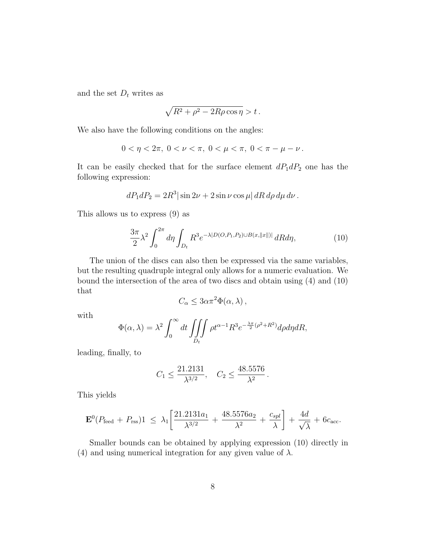and the set  $D_t$  writes as

$$
\sqrt{R^2+\rho^2-2R\rho\cos\eta}>t\,.
$$

We also have the following conditions on the angles:

$$
0 < \eta < 2\pi, \ 0 < \nu < \pi, \ 0 < \mu < \pi, \ 0 < \pi - \mu - \nu \, .
$$

It can be easily checked that for the surface element  $dP_1dP_2$  one has the following expression:

$$
dP_1dP_2 = 2R^3|\sin 2\nu + 2\sin \nu \cos \mu| dR d\rho d\mu d\nu.
$$

This allows us to express (9) as

$$
\frac{3\pi}{2}\lambda^2 \int_0^{2\pi} d\eta \int_{D_t} R^3 e^{-\lambda |D(O, P_1, P_2) \cup B(x, ||x||)|} dR d\eta, \tag{10}
$$

The union of the discs can also then be expressed via the same variables, but the resulting quadruple integral only allows for a numeric evaluation. We bound the intersection of the area of two discs and obtain using (4) and (10) that

$$
C_{\alpha} \leq 3\alpha \pi^2 \Phi(\alpha, \lambda) ,
$$

with

$$
\Phi(\alpha,\lambda) = \lambda^2 \int_0^\infty dt \iiint_{D_t} \rho t^{\alpha-1} R^3 e^{-\frac{\lambda \pi}{2} (\rho^2 + R^2)} d\rho d\eta dR,
$$

leading, finally, to

$$
C_1 \le \frac{21.2131}{\lambda^{3/2}}, \quad C_2 \le \frac{48.5576}{\lambda^2}.
$$

This yields

$$
\mathbf{E}^{0}(P_{\text{feed}} + P_{\text{rss}})1 \leq \lambda_{1} \left[ \frac{21.2131a_{1}}{\lambda^{3/2}} + \frac{48.5576a_{2}}{\lambda^{2}} + \frac{c_{spl}}{\lambda} \right] + \frac{4d}{\sqrt{\lambda}} + 6c_{\text{acc}}.
$$

Smaller bounds can be obtained by applying expression (10) directly in (4) and using numerical integration for any given value of  $\lambda$ .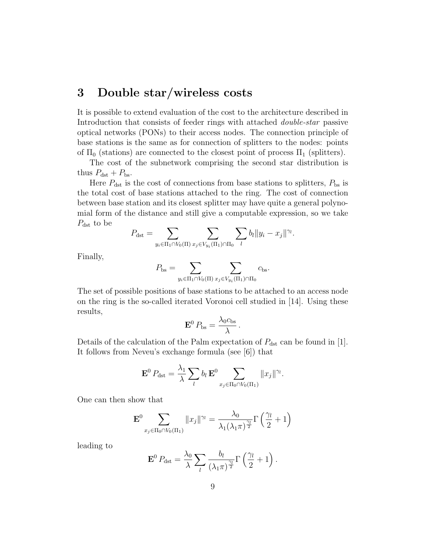## 3 Double star/wireless costs

It is possible to extend evaluation of the cost to the architecture described in Introduction that consists of feeder rings with attached double-star passive optical networks (PONs) to their access nodes. The connection principle of base stations is the same as for connection of splitters to the nodes: points of  $\Pi_0$  (stations) are connected to the closest point of process  $\Pi_1$  (splitters).

The cost of the subnetwork comprising the second star distribution is thus  $P_{\text{dst}} + P_{\text{bs}}$ .

Here  $P_{\text{dst}}$  is the cost of connections from base stations to splitters,  $P_{\text{bs}}$  is the total cost of base stations attached to the ring. The cost of connection between base station and its closest splitter may have quite a general polynomial form of the distance and still give a computable expression, so we take  $P_{\text{dst}}$  to be

$$
P_{\text{dst}} = \sum_{y_i \in \Pi_1 \cap V_0(\Pi)} \sum_{x_j \in V_{y_i}(\Pi_1) \cap \Pi_0} \sum_l b_l \|y_i - x_j\|^{\gamma_l}.
$$

Finally,

$$
P_{\text{bs}} = \sum_{y_i \in \Pi_1 \cap V_0(\Pi)} \sum_{x_j \in V_{y_i}(\Pi_1) \cap \Pi_0} c_{\text{bs}}.
$$

The set of possible positions of base stations to be attached to an access node on the ring is the so-called iterated Voronoi cell studied in [14]. Using these results,

$$
\mathbf{E}^0 P_{\text{bs}} = \frac{\lambda_0 c_{\text{bs}}}{\lambda}.
$$

Details of the calculation of the Palm expectation of  $P_{\text{dst}}$  can be found in [1]. It follows from Neveu's exchange formula (see [6]) that

$$
\mathbf{E}^0 P_{\text{dst}} = \frac{\lambda_1}{\lambda} \sum_l b_l \mathbf{E}^0 \sum_{x_j \in \Pi_0 \cap V_0(\Pi_1)} ||x_j||^{\gamma_l}.
$$

One can then show that

$$
\mathbf{E}^{0} \sum_{x_j \in \Pi_0 \cap V_0(\Pi_1)} \|x_j\|^{\gamma_l} = \frac{\lambda_0}{\lambda_1(\lambda_1 \pi)^{\frac{\gamma_l}{2}}} \Gamma\left(\frac{\gamma_l}{2} + 1\right)
$$

leading to

$$
\mathbf{E}^0 P_{\text{dst}} = \frac{\lambda_0}{\lambda} \sum_l \frac{b_l}{(\lambda_1 \pi)^{\frac{\gamma_l}{2}}} \Gamma\left(\frac{\gamma_l}{2} + 1\right).
$$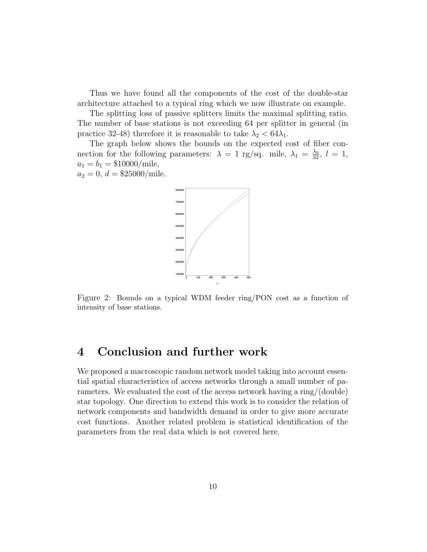Thus we have found all the components of the cost of the double-star architecture attached to a typical ring which we now illustrate on example.

The splitting loss of passive splitters limits the maximal splitting ratio. The number of base stations is not exceeding 64 per splitter in general (in practice 32-48) therefore it is reasonable to take  $\lambda_2 < 64\lambda_1$ .

The graph below shows the bounds on the expected cost of fiber connection for the following parameters:  $\lambda = 1$  rg/sq. mile,  $\lambda_1 = \frac{\lambda_0}{32}$ ,  $l = 1$ ,  $a_1 = b_1 = $10000/\text{mile},$ 

 $a_2 = 0, d = $25000/mile.$ 



Figure 2: Bounds on a typical WDM feeder ring/PON cost as a function of intensity of base stations.

### 4 Conclusion and further work

We proposed a macroscopic random network model taking into account essential spatial characteristics of access networks through a small number of parameters. We evaluated the cost of the access network having a ring/(double) star topology. One direction to extend this work is to consider the relation of network components and bandwidth demand in order to give more accurate cost functions. Another related problem is statistical identification of the parameters from the real data which is not covered here.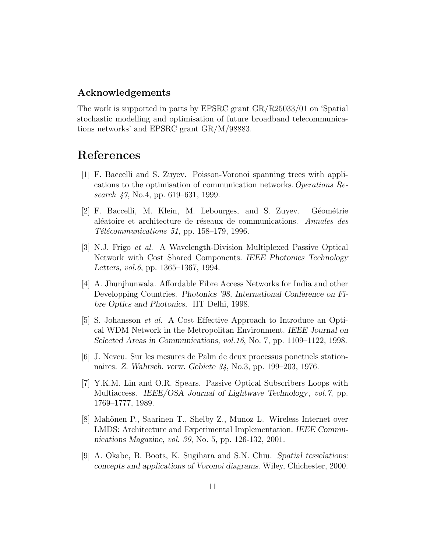#### Acknowledgements

The work is supported in parts by EPSRC grant GR/R25033/01 on 'Spatial stochastic modelling and optimisation of future broadband telecommunications networks' and EPSRC grant GR/M/98883.

## References

- [1] F. Baccelli and S. Zuyev. Poisson-Voronoi spanning trees with applications to the optimisation of communication networks.Operations Research 47, No.4, pp. 619–631, 1999.
- [2] F. Baccelli, M. Klein, M. Lebourges, and S. Zuyev. Géométrie aléatoire et architecture de réseaux de communications. Annales des  $T\acute{e}l\acute{e}communications$  51, pp. 158–179, 1996.
- [3] N.J. Frigo et al. A Wavelength-Division Multiplexed Passive Optical Network with Cost Shared Components. IEEE Photonics Technology Letters, vol.6, pp. 1365–1367, 1994.
- [4] A. Jhunjhunwala. Affordable Fibre Access Networks for India and other Developping Countries. Photonics '98, International Conference on Fibre Optics and Photonics, IIT Delhi, 1998.
- [5] S. Johansson et al. A Cost Effective Approach to Introduce an Optical WDM Network in the Metropolitan Environment. IEEE Journal on Selected Areas in Communications, vol.16, No. 7, pp. 1109–1122, 1998.
- [6] J. Neveu. Sur les mesures de Palm de deux processus ponctuels stationnaires. Z. Wahrsch. verw. Gebiete 34, No.3, pp. 199–203, 1976.
- [7] Y.K.M. Lin and O.R. Spears. Passive Optical Subscribers Loops with Multiaccess. IEEE/OSA Journal of Lightwave Technology, vol.7, pp. 1769–1777, 1989.
- [8] Mahönen P., Saarinen T., Shelby Z., Munoz L. Wireless Internet over LMDS: Architecture and Experimental Implementation. IEEE Communications Magazine, vol. 39, No. 5, pp. 126-132, 2001.
- [9] A. Okabe, B. Boots, K. Sugihara and S.N. Chiu. Spatial tesselations: concepts and applications of Voronoi diagrams. Wiley, Chichester, 2000.